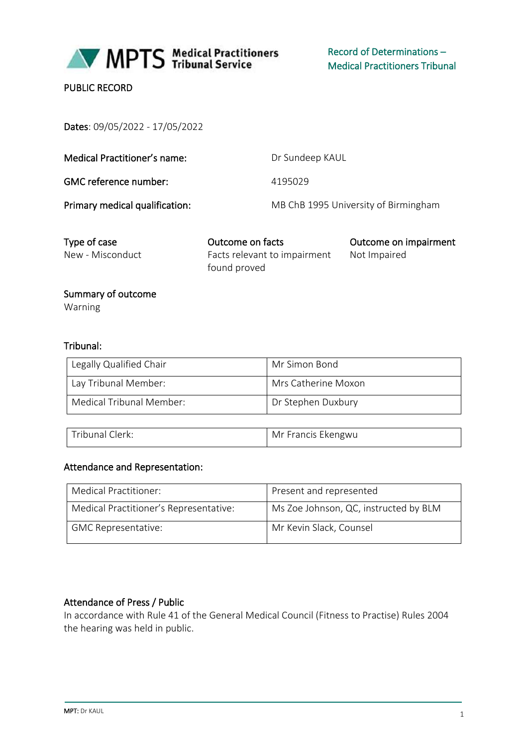

MPTS Medical Practitioners

# PUBLIC RECORD

Dates: 09/05/2022 - 17/05/2022

| Medical Practitioner's name:   | Dr Sundeep KAUL                      |
|--------------------------------|--------------------------------------|
| GMC reference number:          | 4195029                              |
| Primary medical qualification: | MB ChB 1995 University of Birmingham |

| Type of case     | Outcome on facts             | Outcome on impairment |
|------------------|------------------------------|-----------------------|
| New - Misconduct | Facts relevant to impairment | Not Impaired          |
|                  | found proved                 |                       |

# Summary of outcome

Warning

# Tribunal:

| Legally Qualified Chair  | Mr Simon Bond       |
|--------------------------|---------------------|
| Lay Tribunal Member:     | Mrs Catherine Moxon |
| Medical Tribunal Member: | Dr Stephen Duxbury  |

| Tribunal Clerk: | Mr Francis Ekengwu |
|-----------------|--------------------|
|                 |                    |

#### Attendance and Representation:

| Medical Practitioner:                  | Present and represented               |
|----------------------------------------|---------------------------------------|
| Medical Practitioner's Representative: | Ms Zoe Johnson, QC, instructed by BLM |
| <b>GMC Representative:</b>             | Mr Kevin Slack, Counsel               |

### Attendance of Press / Public

In accordance with Rule 41 of the General Medical Council (Fitness to Practise) Rules 2004 the hearing was held in public.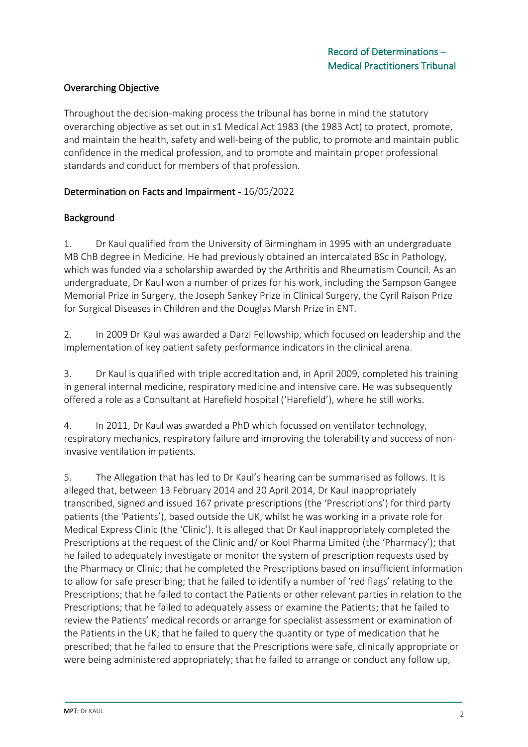# Overarching Objective

Throughout the decision-making process the tribunal has borne in mind the statutory overarching objective as set out in s1 Medical Act 1983 (the 1983 Act) to protect, promote, and maintain the health, safety and well-being of the public, to promote and maintain public confidence in the medical profession, and to promote and maintain proper professional standards and conduct for members of that profession.

#### Determination on Facts and Impairment - 16/05/2022

### Background

1. Dr Kaul qualified from the University of Birmingham in 1995 with an undergraduate MB ChB degree in Medicine. He had previously obtained an intercalated BSc in Pathology, which was funded via a scholarship awarded by the Arthritis and Rheumatism Council. As an undergraduate, Dr Kaul won a number of prizes for his work, including the Sampson Gangee Memorial Prize in Surgery, the Joseph Sankey Prize in Clinical Surgery, the Cyril Raison Prize for Surgical Diseases in Children and the Douglas Marsh Prize in ENT.

2. In 2009 Dr Kaul was awarded a Darzi Fellowship, which focused on leadership and the implementation of key patient safety performance indicators in the clinical arena.

3. Dr Kaul is qualified with triple accreditation and, in April 2009, completed his training in general internal medicine, respiratory medicine and intensive care. He was subsequently offered a role as a Consultant at Harefield hospital ('Harefield'), where he still works.

4. In 2011, Dr Kaul was awarded a PhD which focussed on ventilator technology, respiratory mechanics, respiratory failure and improving the tolerability and success of noninvasive ventilation in patients.

5. The Allegation that has led to Dr Kaul's hearing can be summarised as follows. It is alleged that, between 13 February 2014 and 20 April 2014, Dr Kaul inappropriately transcribed, signed and issued 167 private prescriptions (the 'Prescriptions') for third party patients (the 'Patients'), based outside the UK, whilst he was working in a private role for Medical Express Clinic (the 'Clinic'). It is alleged that Dr Kaul inappropriately completed the Prescriptions at the request of the Clinic and/ or Kool Pharma Limited (the 'Pharmacy'); that he failed to adequately investigate or monitor the system of prescription requests used by the Pharmacy or Clinic; that he completed the Prescriptions based on insufficient information to allow for safe prescribing; that he failed to identify a number of 'red flags' relating to the Prescriptions; that he failed to contact the Patients or other relevant parties in relation to the Prescriptions; that he failed to adequately assess or examine the Patients; that he failed to review the Patients' medical records or arrange for specialist assessment or examination of the Patients in the UK; that he failed to query the quantity or type of medication that he prescribed; that he failed to ensure that the Prescriptions were safe, clinically appropriate or were being administered appropriately; that he failed to arrange or conduct any follow up,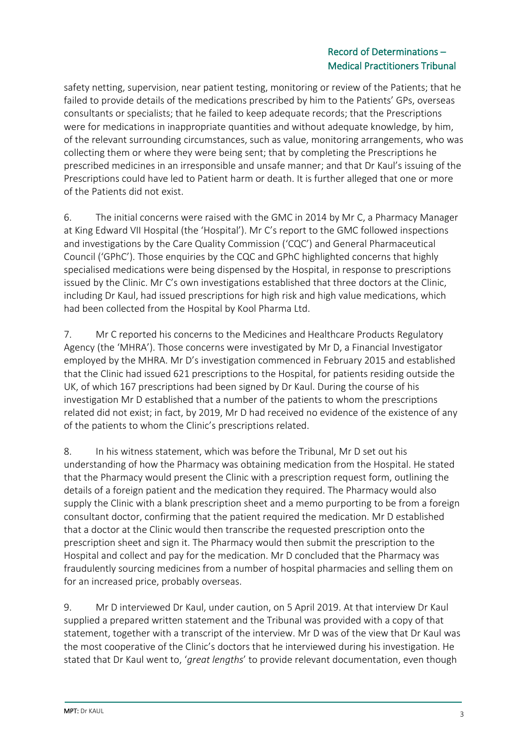safety netting, supervision, near patient testing, monitoring or review of the Patients; that he failed to provide details of the medications prescribed by him to the Patients' GPs, overseas consultants or specialists; that he failed to keep adequate records; that the Prescriptions were for medications in inappropriate quantities and without adequate knowledge, by him, of the relevant surrounding circumstances, such as value, monitoring arrangements, who was collecting them or where they were being sent; that by completing the Prescriptions he prescribed medicines in an irresponsible and unsafe manner; and that Dr Kaul's issuing of the Prescriptions could have led to Patient harm or death. It is further alleged that one or more of the Patients did not exist.

6. The initial concerns were raised with the GMC in 2014 by Mr C, a Pharmacy Manager at King Edward VII Hospital (the 'Hospital'). Mr C's report to the GMC followed inspections and investigations by the Care Quality Commission ('CQC') and General Pharmaceutical Council ('GPhC'). Those enquiries by the CQC and GPhC highlighted concerns that highly specialised medications were being dispensed by the Hospital, in response to prescriptions issued by the Clinic. Mr C's own investigations established that three doctors at the Clinic, including Dr Kaul, had issued prescriptions for high risk and high value medications, which had been collected from the Hospital by Kool Pharma Ltd.

7. Mr C reported his concerns to the Medicines and Healthcare Products Regulatory Agency (the 'MHRA'). Those concerns were investigated by Mr D, a Financial Investigator employed by the MHRA. Mr D's investigation commenced in February 2015 and established that the Clinic had issued 621 prescriptions to the Hospital, for patients residing outside the UK, of which 167 prescriptions had been signed by Dr Kaul. During the course of his investigation Mr D established that a number of the patients to whom the prescriptions related did not exist; in fact, by 2019, Mr D had received no evidence of the existence of any of the patients to whom the Clinic's prescriptions related.

8. In his witness statement, which was before the Tribunal, Mr D set out his understanding of how the Pharmacy was obtaining medication from the Hospital. He stated that the Pharmacy would present the Clinic with a prescription request form, outlining the details of a foreign patient and the medication they required. The Pharmacy would also supply the Clinic with a blank prescription sheet and a memo purporting to be from a foreign consultant doctor, confirming that the patient required the medication. Mr D established that a doctor at the Clinic would then transcribe the requested prescription onto the prescription sheet and sign it. The Pharmacy would then submit the prescription to the Hospital and collect and pay for the medication. Mr D concluded that the Pharmacy was fraudulently sourcing medicines from a number of hospital pharmacies and selling them on for an increased price, probably overseas.

9. Mr D interviewed Dr Kaul, under caution, on 5 April 2019. At that interview Dr Kaul supplied a prepared written statement and the Tribunal was provided with a copy of that statement, together with a transcript of the interview. Mr D was of the view that Dr Kaul was the most cooperative of the Clinic's doctors that he interviewed during his investigation. He stated that Dr Kaul went to, '*great lengths*' to provide relevant documentation, even though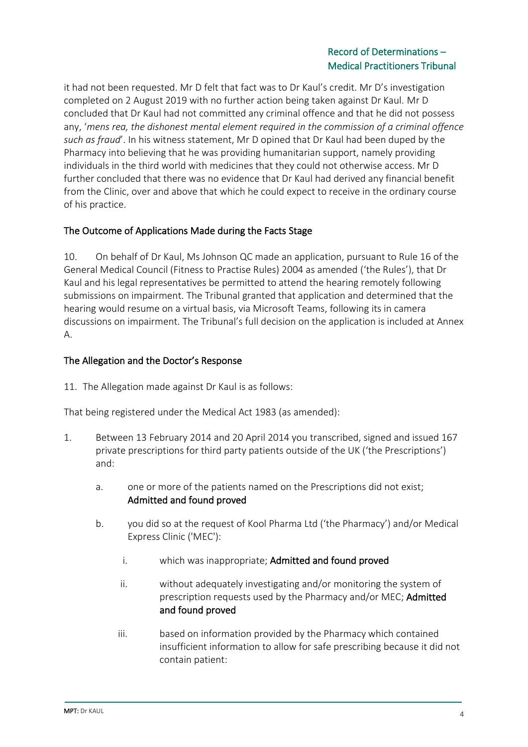it had not been requested. Mr D felt that fact was to Dr Kaul's credit. Mr D's investigation completed on 2 August 2019 with no further action being taken against Dr Kaul. Mr D concluded that Dr Kaul had not committed any criminal offence and that he did not possess any, '*mens rea, the dishonest mental element required in the commission of a criminal offence such as fraud*'. In his witness statement, Mr D opined that Dr Kaul had been duped by the Pharmacy into believing that he was providing humanitarian support, namely providing individuals in the third world with medicines that they could not otherwise access. Mr D further concluded that there was no evidence that Dr Kaul had derived any financial benefit from the Clinic, over and above that which he could expect to receive in the ordinary course of his practice.

# The Outcome of Applications Made during the Facts Stage

10. On behalf of Dr Kaul, Ms Johnson QC made an application, pursuant to Rule 16 of the General Medical Council (Fitness to Practise Rules) 2004 as amended ('the Rules'), that Dr Kaul and his legal representatives be permitted to attend the hearing remotely following submissions on impairment. The Tribunal granted that application and determined that the hearing would resume on a virtual basis, via Microsoft Teams, following its in camera discussions on impairment. The Tribunal's full decision on the application is included at Annex A.

### The Allegation and the Doctor's Response

11. The Allegation made against Dr Kaul is as follows:

That being registered under the Medical Act 1983 (as amended):

- 1. Between 13 February 2014 and 20 April 2014 you transcribed, signed and issued 167 private prescriptions for third party patients outside of the UK ('the Prescriptions') and:
	- a. one or more of the patients named on the Prescriptions did not exist; Admitted and found proved
	- b. you did so at the request of Kool Pharma Ltd ('the Pharmacy') and/or Medical Express Clinic ('MEC'):
		- i. which was inappropriate; Admitted and found proved
		- ii. without adequately investigating and/or monitoring the system of prescription requests used by the Pharmacy and/or MEC; Admitted and found proved
		- iii. based on information provided by the Pharmacy which contained insufficient information to allow for safe prescribing because it did not contain patient: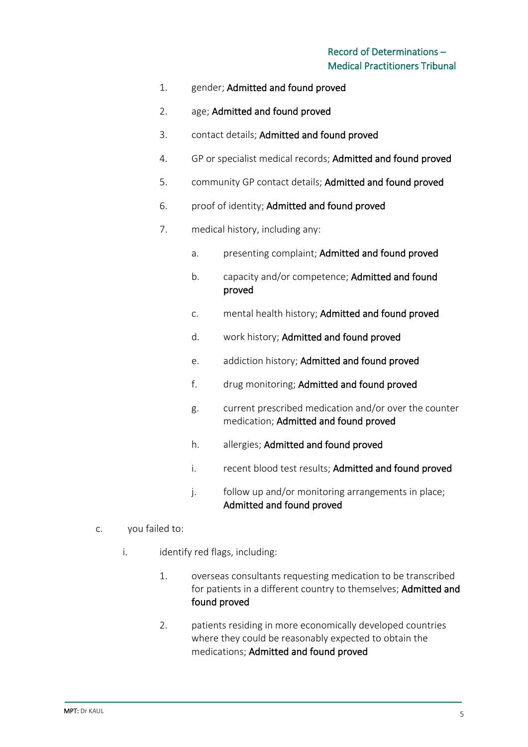- 1. gender; Admitted and found proved
- 2. age; Admitted and found proved
- 3. contact details; Admitted and found proved
- 4. GP or specialist medical records; Admitted and found proved
- 5. community GP contact details; Admitted and found proved
- 6. proof of identity; Admitted and found proved
- 7. medical history, including any:
	- a. presenting complaint; Admitted and found proved
	- b. capacity and/or competence; Admitted and found proved
	- c. mental health history; Admitted and found proved
	- d. work history; Admitted and found proved
	- e. addiction history; Admitted and found proved
	- f. drug monitoring; Admitted and found proved
	- g. current prescribed medication and/or over the counter medication; Admitted and found proved
	- h. allergies; Admitted and found proved
	- i. recent blood test results; Admitted and found proved
	- j. follow up and/or monitoring arrangements in place; Admitted and found proved
- c. you failed to:
	- i. identify red flags, including:
		- 1. overseas consultants requesting medication to be transcribed for patients in a different country to themselves; Admitted and found proved
		- 2. patients residing in more economically developed countries where they could be reasonably expected to obtain the medications; Admitted and found proved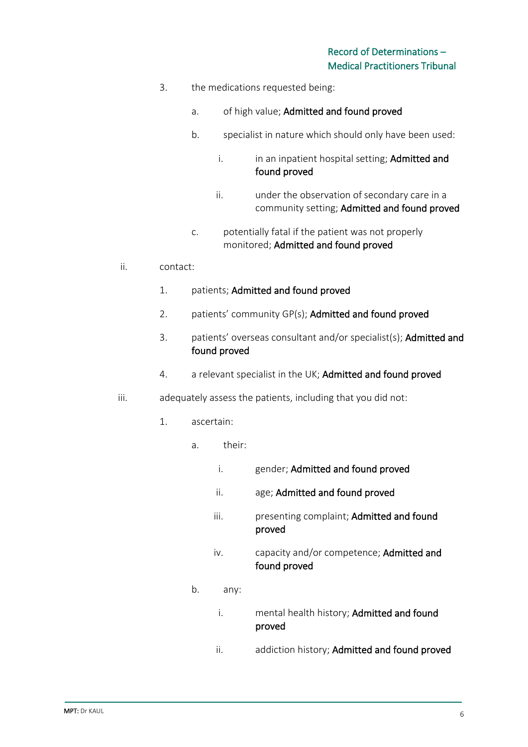- 3. the medications requested being:
	- a. of high value; Admitted and found proved
	- b. specialist in nature which should only have been used:
		- i. in an inpatient hospital setting; Admitted and found proved
		- ii. under the observation of secondary care in a community setting; Admitted and found proved
	- c. potentially fatal if the patient was not properly monitored; Admitted and found proved
- ii. contact:
	- 1. patients; Admitted and found proved
	- 2. patients' community GP(s); Admitted and found proved
	- 3. patients' overseas consultant and/or specialist(s); Admitted and found proved
	- 4. a relevant specialist in the UK; Admitted and found proved
- iii. adequately assess the patients, including that you did not:
	- 1. ascertain:
		- a. their:
			- i. gender; Admitted and found proved
			- ii. age; Admitted and found proved
			- iii. presenting complaint; Admitted and found proved
			- iv. capacity and/or competence; Admitted and found proved
		- b. any:
			- i. mental health history; Admitted and found proved
			- ii. addiction history; Admitted and found proved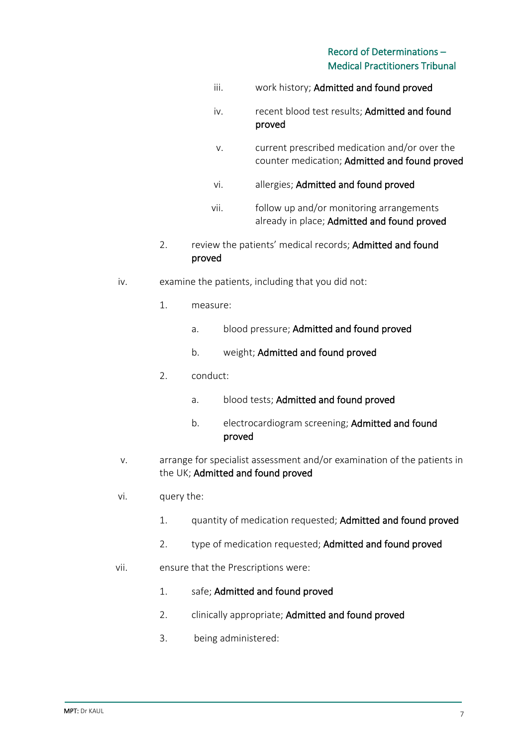- iii. work history; Admitted and found proved
- iv. recent blood test results; Admitted and found proved
- v. current prescribed medication and/or over the counter medication; Admitted and found proved
- vi. allergies; Admitted and found proved
- vii. follow up and/or monitoring arrangements already in place; Admitted and found proved
- 2. review the patients' medical records; Admitted and found proved
- iv. examine the patients, including that you did not:
	- 1. measure:
		- a. blood pressure; Admitted and found proved
		- b. weight; Admitted and found proved
	- 2. conduct:
		- a. blood tests; Admitted and found proved
		- b. electrocardiogram screening; Admitted and found proved
- v. arrange for specialist assessment and/or examination of the patients in the UK; Admitted and found proved
- vi. query the:
	- 1. quantity of medication requested; Admitted and found proved
	- 2. type of medication requested; Admitted and found proved
- vii. ensure that the Prescriptions were:
	- 1. safe; Admitted and found proved
	- 2. clinically appropriate; Admitted and found proved
	- 3. being administered: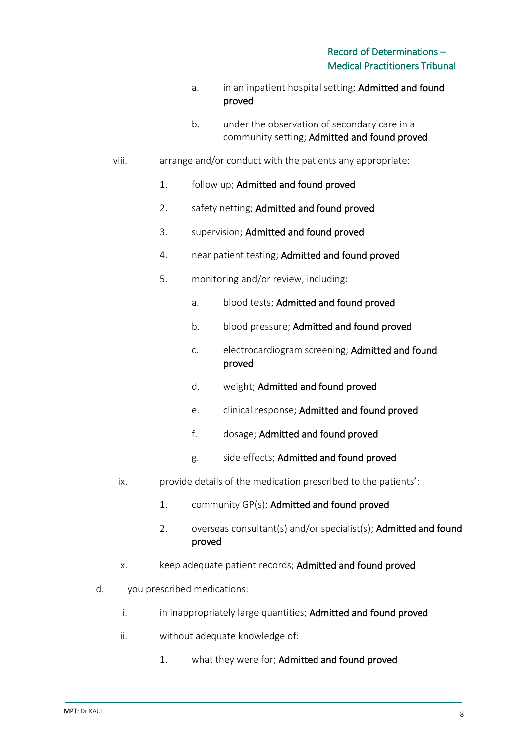- a. in an inpatient hospital setting; Admitted and found proved
- b. under the observation of secondary care in a community setting; Admitted and found proved
- viii. arrange and/or conduct with the patients any appropriate:
	- 1. follow up; Admitted and found proved
	- 2. safety netting; Admitted and found proved
	- 3. supervision; Admitted and found proved
	- 4. near patient testing; Admitted and found proved
	- 5. monitoring and/or review, including:
		- a. blood tests; Admitted and found proved
		- b. blood pressure; Admitted and found proved
		- c. electrocardiogram screening; Admitted and found proved
		- d. weight; Admitted and found proved
		- e. clinical response; Admitted and found proved
		- f. dosage; Admitted and found proved
		- g. side effects; Admitted and found proved
	- ix. provide details of the medication prescribed to the patients':
		- 1. community GP(s); Admitted and found proved
		- 2. overseas consultant(s) and/or specialist(s); Admitted and found proved
	- x. keep adequate patient records; Admitted and found proved
- d. you prescribed medications:
	- i. in inappropriately large quantities; Admitted and found proved
	- ii. without adequate knowledge of:
		- 1. what they were for; Admitted and found proved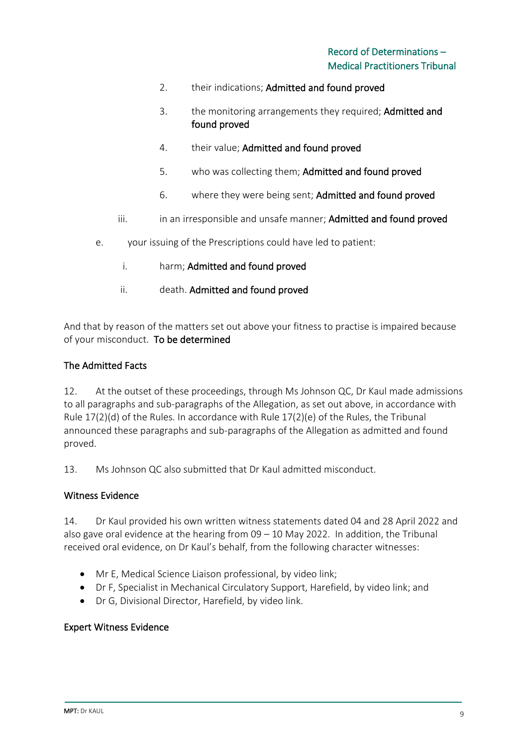- 2. their indications; Admitted and found proved
- 3. the monitoring arrangements they required; Admitted and found proved
- 4. their value; Admitted and found proved
- 5. who was collecting them; Admitted and found proved
- 6. where they were being sent; Admitted and found proved
- iii. iii. in an irresponsible and unsafe manner; Admitted and found proved
- e. your issuing of the Prescriptions could have led to patient:
	- i. harm; Admitted and found proved
	- ii. death. Admitted and found proved

And that by reason of the matters set out above your fitness to practise is impaired because of your misconduct. To be determined

### The Admitted Facts

12. At the outset of these proceedings, through Ms Johnson QC, Dr Kaul made admissions to all paragraphs and sub-paragraphs of the Allegation, as set out above, in accordance with Rule 17(2)(d) of the Rules. In accordance with Rule 17(2)(e) of the Rules, the Tribunal announced these paragraphs and sub-paragraphs of the Allegation as admitted and found proved.

13. Ms Johnson QC also submitted that Dr Kaul admitted misconduct.

#### Witness Evidence

14. Dr Kaul provided his own written witness statements dated 04 and 28 April 2022 and also gave oral evidence at the hearing from 09 – 10 May 2022. In addition, the Tribunal received oral evidence, on Dr Kaul's behalf, from the following character witnesses:

- Mr E, Medical Science Liaison professional, by video link;
- Dr F, Specialist in Mechanical Circulatory Support, Harefield, by video link; and
- Dr G, Divisional Director, Harefield, by video link.

#### Expert Witness Evidence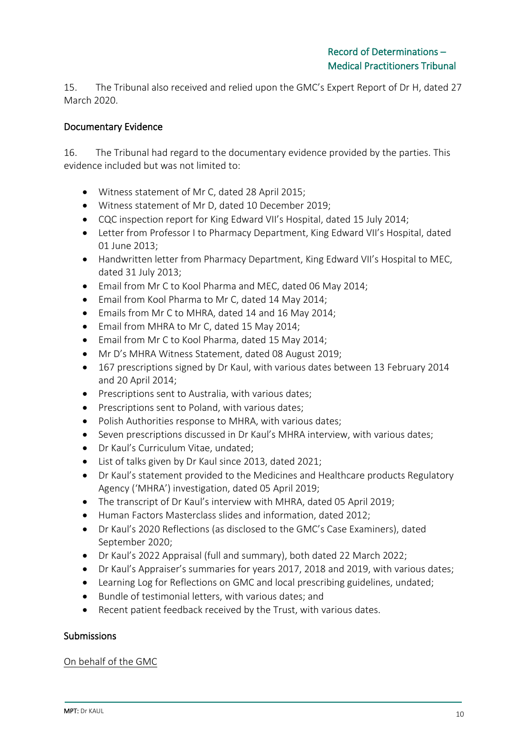15. The Tribunal also received and relied upon the GMC's Expert Report of Dr H, dated 27 March 2020.

### Documentary Evidence

16. The Tribunal had regard to the documentary evidence provided by the parties. This evidence included but was not limited to:

- Witness statement of Mr C, dated 28 April 2015;
- Witness statement of Mr D, dated 10 December 2019;
- CQC inspection report for King Edward VII's Hospital, dated 15 July 2014;
- Letter from Professor I to Pharmacy Department, King Edward VII's Hospital, dated 01 June 2013;
- Handwritten letter from Pharmacy Department, King Edward VII's Hospital to MEC, dated 31 July 2013;
- Email from Mr C to Kool Pharma and MEC, dated 06 May 2014;
- Email from Kool Pharma to Mr C, dated 14 May 2014;
- Emails from Mr C to MHRA, dated 14 and 16 May 2014;
- Email from MHRA to Mr C, dated 15 May 2014;
- Email from Mr C to Kool Pharma, dated 15 May 2014;
- Mr D's MHRA Witness Statement, dated 08 August 2019;
- 167 prescriptions signed by Dr Kaul, with various dates between 13 February 2014 and 20 April 2014;
- Prescriptions sent to Australia, with various dates;
- Prescriptions sent to Poland, with various dates;
- Polish Authorities response to MHRA, with various dates;
- Seven prescriptions discussed in Dr Kaul's MHRA interview, with various dates;
- Dr Kaul's Curriculum Vitae, undated;
- List of talks given by Dr Kaul since 2013, dated 2021;
- Dr Kaul's statement provided to the Medicines and Healthcare products Regulatory Agency ('MHRA') investigation, dated 05 April 2019;
- The transcript of Dr Kaul's interview with MHRA, dated 05 April 2019;
- Human Factors Masterclass slides and information, dated 2012;
- Dr Kaul's 2020 Reflections (as disclosed to the GMC's Case Examiners), dated September 2020;
- Dr Kaul's 2022 Appraisal (full and summary), both dated 22 March 2022;
- Dr Kaul's Appraiser's summaries for years 2017, 2018 and 2019, with various dates;
- Learning Log for Reflections on GMC and local prescribing guidelines, undated;
- Bundle of testimonial letters, with various dates; and
- Recent patient feedback received by the Trust, with various dates.

### Submissions

### On behalf of the GMC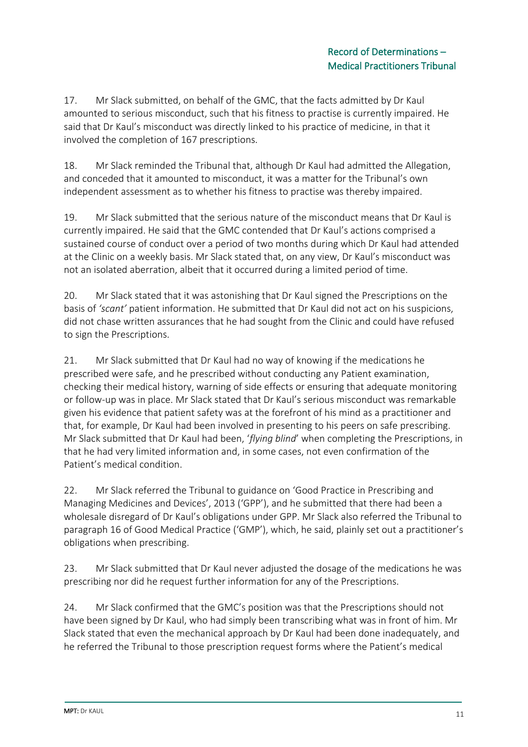17. Mr Slack submitted, on behalf of the GMC, that the facts admitted by Dr Kaul amounted to serious misconduct, such that his fitness to practise is currently impaired. He said that Dr Kaul's misconduct was directly linked to his practice of medicine, in that it involved the completion of 167 prescriptions.

18. Mr Slack reminded the Tribunal that, although Dr Kaul had admitted the Allegation, and conceded that it amounted to misconduct, it was a matter for the Tribunal's own independent assessment as to whether his fitness to practise was thereby impaired.

19. Mr Slack submitted that the serious nature of the misconduct means that Dr Kaul is currently impaired. He said that the GMC contended that Dr Kaul's actions comprised a sustained course of conduct over a period of two months during which Dr Kaul had attended at the Clinic on a weekly basis. Mr Slack stated that, on any view, Dr Kaul's misconduct was not an isolated aberration, albeit that it occurred during a limited period of time.

20. Mr Slack stated that it was astonishing that Dr Kaul signed the Prescriptions on the basis of *'scant'* patient information. He submitted that Dr Kaul did not act on his suspicions, did not chase written assurances that he had sought from the Clinic and could have refused to sign the Prescriptions.

21. Mr Slack submitted that Dr Kaul had no way of knowing if the medications he prescribed were safe, and he prescribed without conducting any Patient examination, checking their medical history, warning of side effects or ensuring that adequate monitoring or follow-up was in place. Mr Slack stated that Dr Kaul's serious misconduct was remarkable given his evidence that patient safety was at the forefront of his mind as a practitioner and that, for example, Dr Kaul had been involved in presenting to his peers on safe prescribing. Mr Slack submitted that Dr Kaul had been, '*flying blind*' when completing the Prescriptions, in that he had very limited information and, in some cases, not even confirmation of the Patient's medical condition.

22. Mr Slack referred the Tribunal to guidance on 'Good Practice in Prescribing and Managing Medicines and Devices', 2013 ('GPP'), and he submitted that there had been a wholesale disregard of Dr Kaul's obligations under GPP. Mr Slack also referred the Tribunal to paragraph 16 of Good Medical Practice ('GMP'), which, he said, plainly set out a practitioner's obligations when prescribing.

23. Mr Slack submitted that Dr Kaul never adjusted the dosage of the medications he was prescribing nor did he request further information for any of the Prescriptions.

24. Mr Slack confirmed that the GMC's position was that the Prescriptions should not have been signed by Dr Kaul, who had simply been transcribing what was in front of him. Mr Slack stated that even the mechanical approach by Dr Kaul had been done inadequately, and he referred the Tribunal to those prescription request forms where the Patient's medical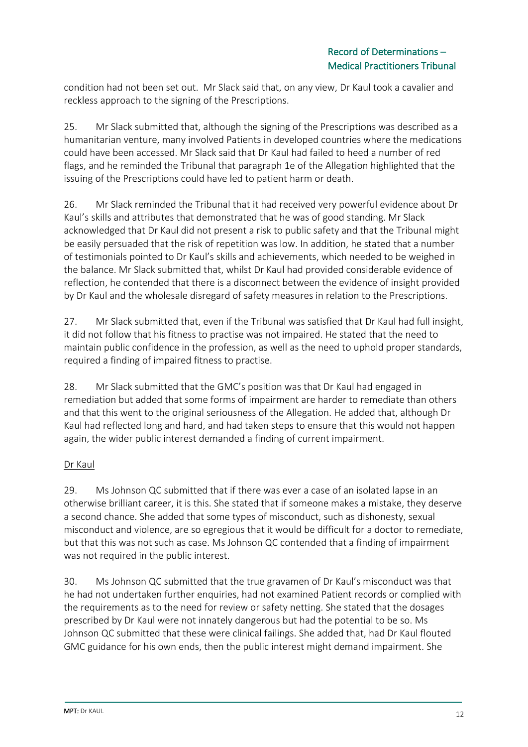condition had not been set out. Mr Slack said that, on any view, Dr Kaul took a cavalier and reckless approach to the signing of the Prescriptions.

25. Mr Slack submitted that, although the signing of the Prescriptions was described as a humanitarian venture, many involved Patients in developed countries where the medications could have been accessed. Mr Slack said that Dr Kaul had failed to heed a number of red flags, and he reminded the Tribunal that paragraph 1e of the Allegation highlighted that the issuing of the Prescriptions could have led to patient harm or death.

26. Mr Slack reminded the Tribunal that it had received very powerful evidence about Dr Kaul's skills and attributes that demonstrated that he was of good standing. Mr Slack acknowledged that Dr Kaul did not present a risk to public safety and that the Tribunal might be easily persuaded that the risk of repetition was low. In addition, he stated that a number of testimonials pointed to Dr Kaul's skills and achievements, which needed to be weighed in the balance. Mr Slack submitted that, whilst Dr Kaul had provided considerable evidence of reflection, he contended that there is a disconnect between the evidence of insight provided by Dr Kaul and the wholesale disregard of safety measures in relation to the Prescriptions.

27. Mr Slack submitted that, even if the Tribunal was satisfied that Dr Kaul had full insight, it did not follow that his fitness to practise was not impaired. He stated that the need to maintain public confidence in the profession, as well as the need to uphold proper standards, required a finding of impaired fitness to practise.

28. Mr Slack submitted that the GMC's position was that Dr Kaul had engaged in remediation but added that some forms of impairment are harder to remediate than others and that this went to the original seriousness of the Allegation. He added that, although Dr Kaul had reflected long and hard, and had taken steps to ensure that this would not happen again, the wider public interest demanded a finding of current impairment.

# Dr Kaul

29. Ms Johnson QC submitted that if there was ever a case of an isolated lapse in an otherwise brilliant career, it is this. She stated that if someone makes a mistake, they deserve a second chance. She added that some types of misconduct, such as dishonesty, sexual misconduct and violence, are so egregious that it would be difficult for a doctor to remediate, but that this was not such as case. Ms Johnson QC contended that a finding of impairment was not required in the public interest.

30. Ms Johnson QC submitted that the true gravamen of Dr Kaul's misconduct was that he had not undertaken further enquiries, had not examined Patient records or complied with the requirements as to the need for review or safety netting. She stated that the dosages prescribed by Dr Kaul were not innately dangerous but had the potential to be so. Ms Johnson QC submitted that these were clinical failings. She added that, had Dr Kaul flouted GMC guidance for his own ends, then the public interest might demand impairment. She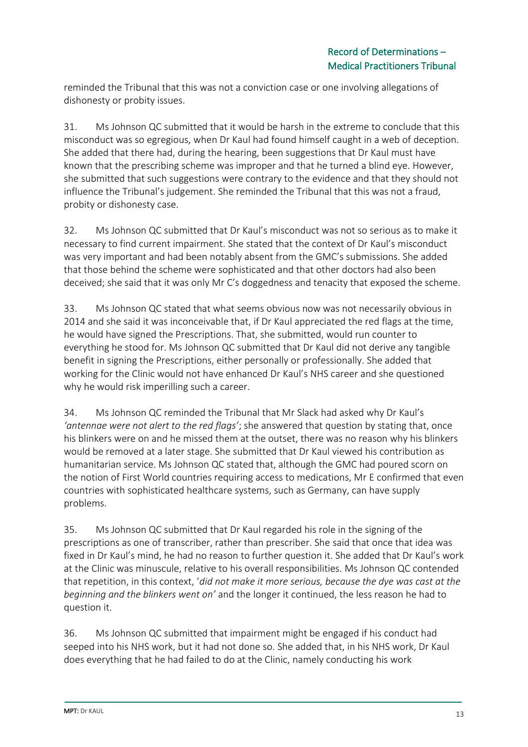reminded the Tribunal that this was not a conviction case or one involving allegations of dishonesty or probity issues.

31. Ms Johnson QC submitted that it would be harsh in the extreme to conclude that this misconduct was so egregious, when Dr Kaul had found himself caught in a web of deception. She added that there had, during the hearing, been suggestions that Dr Kaul must have known that the prescribing scheme was improper and that he turned a blind eye. However, she submitted that such suggestions were contrary to the evidence and that they should not influence the Tribunal's judgement. She reminded the Tribunal that this was not a fraud, probity or dishonesty case.

32. Ms Johnson QC submitted that Dr Kaul's misconduct was not so serious as to make it necessary to find current impairment. She stated that the context of Dr Kaul's misconduct was very important and had been notably absent from the GMC's submissions. She added that those behind the scheme were sophisticated and that other doctors had also been deceived; she said that it was only Mr C's doggedness and tenacity that exposed the scheme.

33. Ms Johnson QC stated that what seems obvious now was not necessarily obvious in 2014 and she said it was inconceivable that, if Dr Kaul appreciated the red flags at the time, he would have signed the Prescriptions. That, she submitted, would run counter to everything he stood for. Ms Johnson QC submitted that Dr Kaul did not derive any tangible benefit in signing the Prescriptions, either personally or professionally. She added that working for the Clinic would not have enhanced Dr Kaul's NHS career and she questioned why he would risk imperilling such a career.

34. Ms Johnson QC reminded the Tribunal that Mr Slack had asked why Dr Kaul's *'antennae were not alert to the red flags'*; she answered that question by stating that, once his blinkers were on and he missed them at the outset, there was no reason why his blinkers would be removed at a later stage. She submitted that Dr Kaul viewed his contribution as humanitarian service. Ms Johnson QC stated that, although the GMC had poured scorn on the notion of First World countries requiring access to medications, Mr E confirmed that even countries with sophisticated healthcare systems, such as Germany, can have supply problems.

35. Ms Johnson QC submitted that Dr Kaul regarded his role in the signing of the prescriptions as one of transcriber, rather than prescriber. She said that once that idea was fixed in Dr Kaul's mind, he had no reason to further question it. She added that Dr Kaul's work at the Clinic was minuscule, relative to his overall responsibilities. Ms Johnson QC contended that repetition, in this context, '*did not make it more serious, because the dye was cast at the beginning and the blinkers went on'* and the longer it continued, the less reason he had to question it.

36. Ms Johnson QC submitted that impairment might be engaged if his conduct had seeped into his NHS work, but it had not done so. She added that, in his NHS work, Dr Kaul does everything that he had failed to do at the Clinic, namely conducting his work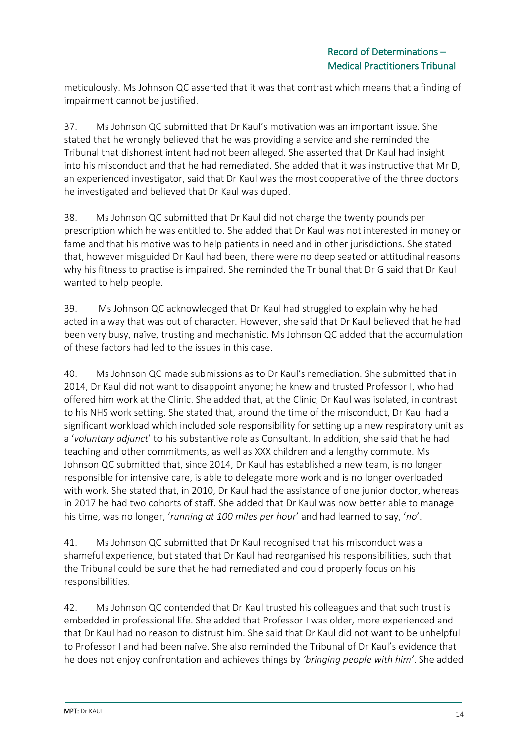meticulously. Ms Johnson QC asserted that it was that contrast which means that a finding of impairment cannot be justified.

37. Ms Johnson QC submitted that Dr Kaul's motivation was an important issue. She stated that he wrongly believed that he was providing a service and she reminded the Tribunal that dishonest intent had not been alleged. She asserted that Dr Kaul had insight into his misconduct and that he had remediated. She added that it was instructive that Mr D, an experienced investigator, said that Dr Kaul was the most cooperative of the three doctors he investigated and believed that Dr Kaul was duped.

38. Ms Johnson QC submitted that Dr Kaul did not charge the twenty pounds per prescription which he was entitled to. She added that Dr Kaul was not interested in money or fame and that his motive was to help patients in need and in other jurisdictions. She stated that, however misguided Dr Kaul had been, there were no deep seated or attitudinal reasons why his fitness to practise is impaired. She reminded the Tribunal that Dr G said that Dr Kaul wanted to help people.

39. Ms Johnson QC acknowledged that Dr Kaul had struggled to explain why he had acted in a way that was out of character. However, she said that Dr Kaul believed that he had been very busy, naïve, trusting and mechanistic. Ms Johnson QC added that the accumulation of these factors had led to the issues in this case.

40. Ms Johnson QC made submissions as to Dr Kaul's remediation. She submitted that in 2014, Dr Kaul did not want to disappoint anyone; he knew and trusted Professor I, who had offered him work at the Clinic. She added that, at the Clinic, Dr Kaul was isolated, in contrast to his NHS work setting. She stated that, around the time of the misconduct, Dr Kaul had a significant workload which included sole responsibility for setting up a new respiratory unit as a '*voluntary adjunct*' to his substantive role as Consultant. In addition, she said that he had teaching and other commitments, as well as XXX children and a lengthy commute. Ms Johnson QC submitted that, since 2014, Dr Kaul has established a new team, is no longer responsible for intensive care, is able to delegate more work and is no longer overloaded with work. She stated that, in 2010, Dr Kaul had the assistance of one junior doctor, whereas in 2017 he had two cohorts of staff. She added that Dr Kaul was now better able to manage his time, was no longer, '*running at 100 miles per hour*' and had learned to say, '*no*'.

41. Ms Johnson QC submitted that Dr Kaul recognised that his misconduct was a shameful experience, but stated that Dr Kaul had reorganised his responsibilities, such that the Tribunal could be sure that he had remediated and could properly focus on his responsibilities.

42. Ms Johnson QC contended that Dr Kaul trusted his colleagues and that such trust is embedded in professional life. She added that Professor I was older, more experienced and that Dr Kaul had no reason to distrust him. She said that Dr Kaul did not want to be unhelpful to Professor I and had been naïve. She also reminded the Tribunal of Dr Kaul's evidence that he does not enjoy confrontation and achieves things by *'bringing people with him'*. She added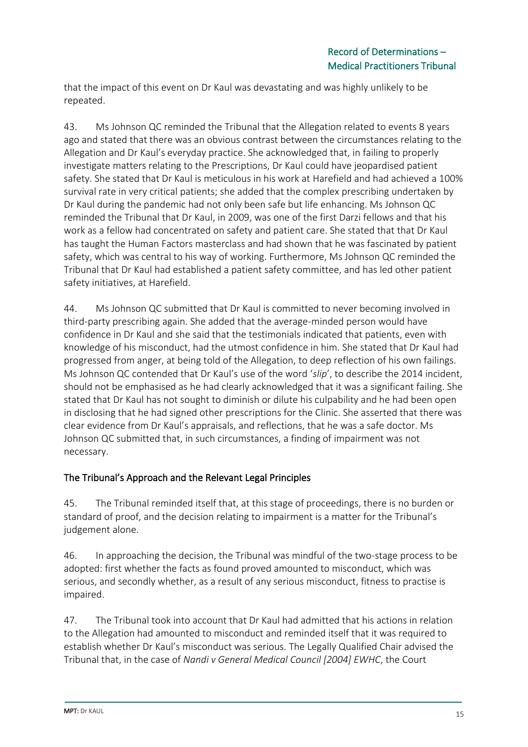that the impact of this event on Dr Kaul was devastating and was highly unlikely to be repeated.

43. Ms Johnson QC reminded the Tribunal that the Allegation related to events 8 years ago and stated that there was an obvious contrast between the circumstances relating to the Allegation and Dr Kaul's everyday practice. She acknowledged that, in failing to properly investigate matters relating to the Prescriptions, Dr Kaul could have jeopardised patient safety. She stated that Dr Kaul is meticulous in his work at Harefield and had achieved a 100% survival rate in very critical patients; she added that the complex prescribing undertaken by Dr Kaul during the pandemic had not only been safe but life enhancing. Ms Johnson QC reminded the Tribunal that Dr Kaul, in 2009, was one of the first Darzi fellows and that his work as a fellow had concentrated on safety and patient care. She stated that that Dr Kaul has taught the Human Factors masterclass and had shown that he was fascinated by patient safety, which was central to his way of working. Furthermore, Ms Johnson QC reminded the Tribunal that Dr Kaul had established a patient safety committee, and has led other patient safety initiatives, at Harefield.

44. Ms Johnson QC submitted that Dr Kaul is committed to never becoming involved in third-party prescribing again. She added that the average-minded person would have confidence in Dr Kaul and she said that the testimonials indicated that patients, even with knowledge of his misconduct, had the utmost confidence in him. She stated that Dr Kaul had progressed from anger, at being told of the Allegation, to deep reflection of his own failings. Ms Johnson QC contended that Dr Kaul's use of the word '*slip*', to describe the 2014 incident, should not be emphasised as he had clearly acknowledged that it was a significant failing. She stated that Dr Kaul has not sought to diminish or dilute his culpability and he had been open in disclosing that he had signed other prescriptions for the Clinic. She asserted that there was clear evidence from Dr Kaul's appraisals, and reflections, that he was a safe doctor. Ms Johnson QC submitted that, in such circumstances, a finding of impairment was not necessary.

# The Tribunal's Approach and the Relevant Legal Principles

45. The Tribunal reminded itself that, at this stage of proceedings, there is no burden or standard of proof, and the decision relating to impairment is a matter for the Tribunal's judgement alone.

46. In approaching the decision, the Tribunal was mindful of the two-stage process to be adopted: first whether the facts as found proved amounted to misconduct, which was serious, and secondly whether, as a result of any serious misconduct, fitness to practise is impaired.

47. The Tribunal took into account that Dr Kaul had admitted that his actions in relation to the Allegation had amounted to misconduct and reminded itself that it was required to establish whether Dr Kaul's misconduct was serious. The Legally Qualified Chair advised the Tribunal that, in the case of *Nandi v General Medical Council [2004] EWHC*, the Court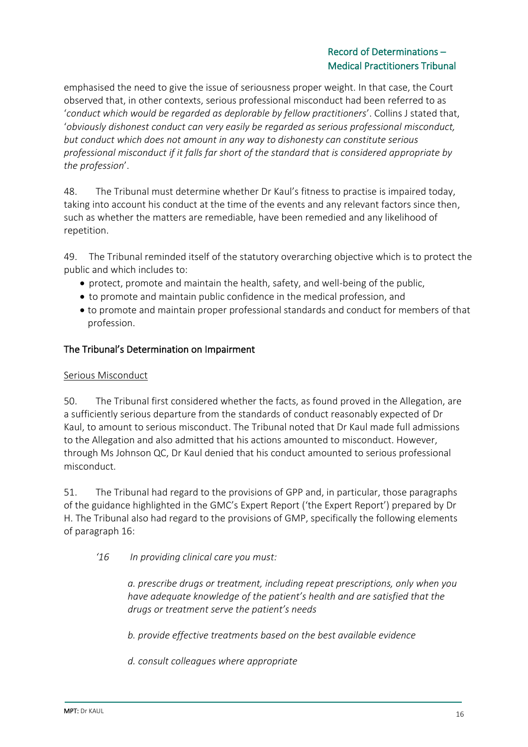emphasised the need to give the issue of seriousness proper weight. In that case, the Court observed that, in other contexts, serious professional misconduct had been referred to as '*conduct which would be regarded as deplorable by fellow practitioners*'. Collins J stated that, '*obviously dishonest conduct can very easily be regarded as serious professional misconduct, but conduct which does not amount in any way to dishonesty can constitute serious professional misconduct if it falls far short of the standard that is considered appropriate by the profession*'.

48. The Tribunal must determine whether Dr Kaul's fitness to practise is impaired today, taking into account his conduct at the time of the events and any relevant factors since then, such as whether the matters are remediable, have been remedied and any likelihood of repetition.

49. The Tribunal reminded itself of the statutory overarching objective which is to protect the public and which includes to:

- protect, promote and maintain the health, safety, and well-being of the public,
- to promote and maintain public confidence in the medical profession, and
- to promote and maintain proper professional standards and conduct for members of that profession.

# The Tribunal's Determination on Impairment

### Serious Misconduct

50. The Tribunal first considered whether the facts, as found proved in the Allegation, are a sufficiently serious departure from the standards of conduct reasonably expected of Dr Kaul, to amount to serious misconduct. The Tribunal noted that Dr Kaul made full admissions to the Allegation and also admitted that his actions amounted to misconduct. However, through Ms Johnson QC, Dr Kaul denied that his conduct amounted to serious professional misconduct.

51. The Tribunal had regard to the provisions of GPP and, in particular, those paragraphs of the guidance highlighted in the GMC's Expert Report ('the Expert Report') prepared by Dr H. The Tribunal also had regard to the provisions of GMP, specifically the following elements of paragraph 16:

*'16 In providing clinical care you must:* 

*a. prescribe drugs or treatment, including repeat prescriptions, only when you have adequate knowledge of the patient's health and are satisfied that the drugs or treatment serve the patient's needs* 

*b. provide effective treatments based on the best available evidence* 

*d. consult colleagues where appropriate*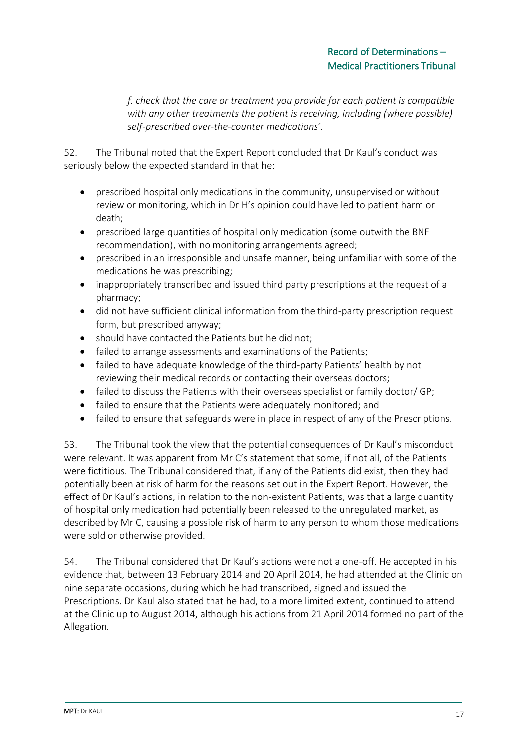*f. check that the care or treatment you provide for each patient is compatible with any other treatments the patient is receiving, including (where possible) self-prescribed over-the-counter medications'*.

52. The Tribunal noted that the Expert Report concluded that Dr Kaul's conduct was seriously below the expected standard in that he:

- prescribed hospital only medications in the community, unsupervised or without review or monitoring, which in Dr H's opinion could have led to patient harm or death;
- prescribed large quantities of hospital only medication (some outwith the BNF recommendation), with no monitoring arrangements agreed;
- prescribed in an irresponsible and unsafe manner, being unfamiliar with some of the medications he was prescribing;
- inappropriately transcribed and issued third party prescriptions at the request of a pharmacy;
- did not have sufficient clinical information from the third-party prescription request form, but prescribed anyway;
- should have contacted the Patients but he did not;
- failed to arrange assessments and examinations of the Patients;
- failed to have adequate knowledge of the third-party Patients' health by not reviewing their medical records or contacting their overseas doctors;
- failed to discuss the Patients with their overseas specialist or family doctor/ GP;
- failed to ensure that the Patients were adequately monitored; and
- failed to ensure that safeguards were in place in respect of any of the Prescriptions.

53. The Tribunal took the view that the potential consequences of Dr Kaul's misconduct were relevant. It was apparent from Mr C's statement that some, if not all, of the Patients were fictitious. The Tribunal considered that, if any of the Patients did exist, then they had potentially been at risk of harm for the reasons set out in the Expert Report. However, the effect of Dr Kaul's actions, in relation to the non-existent Patients, was that a large quantity of hospital only medication had potentially been released to the unregulated market, as described by Mr C, causing a possible risk of harm to any person to whom those medications were sold or otherwise provided.

54. The Tribunal considered that Dr Kaul's actions were not a one-off. He accepted in his evidence that, between 13 February 2014 and 20 April 2014, he had attended at the Clinic on nine separate occasions, during which he had transcribed, signed and issued the Prescriptions. Dr Kaul also stated that he had, to a more limited extent, continued to attend at the Clinic up to August 2014, although his actions from 21 April 2014 formed no part of the Allegation.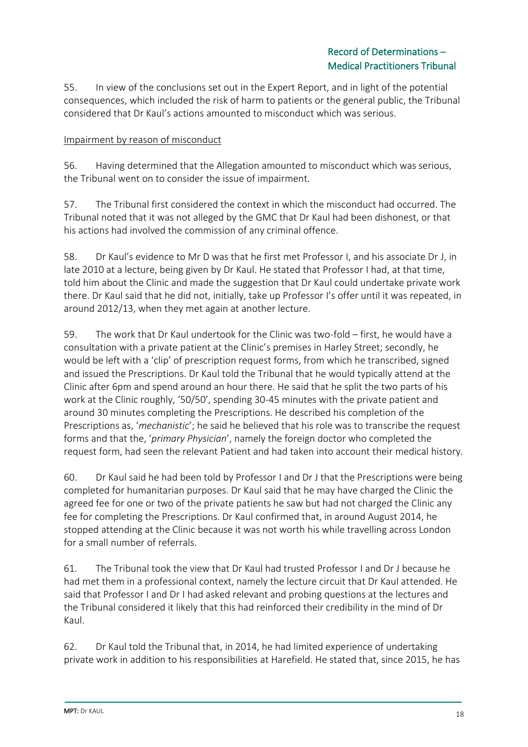55. In view of the conclusions set out in the Expert Report, and in light of the potential consequences, which included the risk of harm to patients or the general public, the Tribunal considered that Dr Kaul's actions amounted to misconduct which was serious.

# Impairment by reason of misconduct

56. Having determined that the Allegation amounted to misconduct which was serious, the Tribunal went on to consider the issue of impairment.

57. The Tribunal first considered the context in which the misconduct had occurred. The Tribunal noted that it was not alleged by the GMC that Dr Kaul had been dishonest, or that his actions had involved the commission of any criminal offence.

58. Dr Kaul's evidence to Mr D was that he first met Professor I, and his associate Dr J, in late 2010 at a lecture, being given by Dr Kaul. He stated that Professor I had, at that time, told him about the Clinic and made the suggestion that Dr Kaul could undertake private work there. Dr Kaul said that he did not, initially, take up Professor I's offer until it was repeated, in around 2012/13, when they met again at another lecture.

59. The work that Dr Kaul undertook for the Clinic was two-fold – first, he would have a consultation with a private patient at the Clinic's premises in Harley Street; secondly, he would be left with a 'clip' of prescription request forms, from which he transcribed, signed and issued the Prescriptions. Dr Kaul told the Tribunal that he would typically attend at the Clinic after 6pm and spend around an hour there. He said that he split the two parts of his work at the Clinic roughly, '50/50', spending 30-45 minutes with the private patient and around 30 minutes completing the Prescriptions. He described his completion of the Prescriptions as, '*mechanistic*'; he said he believed that his role was to transcribe the request forms and that the, '*primary Physician*', namely the foreign doctor who completed the request form, had seen the relevant Patient and had taken into account their medical history.

60. Dr Kaul said he had been told by Professor I and Dr J that the Prescriptions were being completed for humanitarian purposes. Dr Kaul said that he may have charged the Clinic the agreed fee for one or two of the private patients he saw but had not charged the Clinic any fee for completing the Prescriptions. Dr Kaul confirmed that, in around August 2014, he stopped attending at the Clinic because it was not worth his while travelling across London for a small number of referrals.

61. The Tribunal took the view that Dr Kaul had trusted Professor I and Dr J because he had met them in a professional context, namely the lecture circuit that Dr Kaul attended. He said that Professor I and Dr I had asked relevant and probing questions at the lectures and the Tribunal considered it likely that this had reinforced their credibility in the mind of Dr Kaul.

62. Dr Kaul told the Tribunal that, in 2014, he had limited experience of undertaking private work in addition to his responsibilities at Harefield. He stated that, since 2015, he has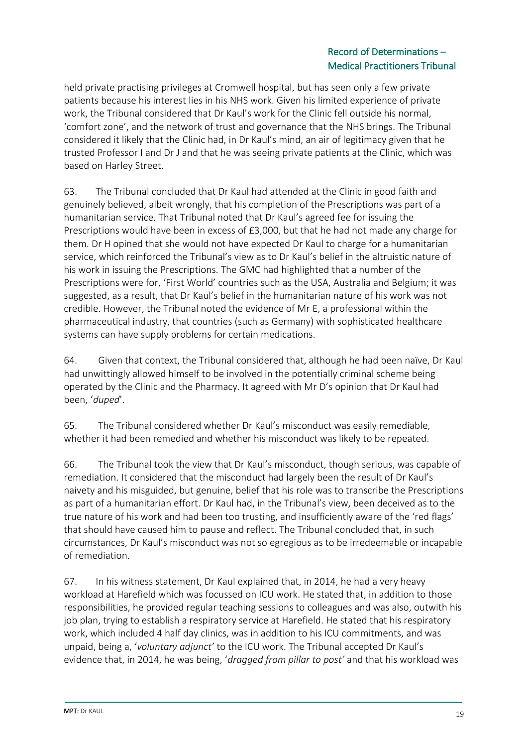held private practising privileges at Cromwell hospital, but has seen only a few private patients because his interest lies in his NHS work. Given his limited experience of private work, the Tribunal considered that Dr Kaul's work for the Clinic fell outside his normal, 'comfort zone', and the network of trust and governance that the NHS brings. The Tribunal considered it likely that the Clinic had, in Dr Kaul's mind, an air of legitimacy given that he trusted Professor I and Dr J and that he was seeing private patients at the Clinic, which was based on Harley Street.

63. The Tribunal concluded that Dr Kaul had attended at the Clinic in good faith and genuinely believed, albeit wrongly, that his completion of the Prescriptions was part of a humanitarian service. That Tribunal noted that Dr Kaul's agreed fee for issuing the Prescriptions would have been in excess of £3,000, but that he had not made any charge for them. Dr H opined that she would not have expected Dr Kaul to charge for a humanitarian service, which reinforced the Tribunal's view as to Dr Kaul's belief in the altruistic nature of his work in issuing the Prescriptions. The GMC had highlighted that a number of the Prescriptions were for, 'First World' countries such as the USA, Australia and Belgium; it was suggested, as a result, that Dr Kaul's belief in the humanitarian nature of his work was not credible. However, the Tribunal noted the evidence of Mr E, a professional within the pharmaceutical industry, that countries (such as Germany) with sophisticated healthcare systems can have supply problems for certain medications.

64. Given that context, the Tribunal considered that, although he had been naïve, Dr Kaul had unwittingly allowed himself to be involved in the potentially criminal scheme being operated by the Clinic and the Pharmacy. It agreed with Mr D's opinion that Dr Kaul had been, '*duped*'.

65. The Tribunal considered whether Dr Kaul's misconduct was easily remediable, whether it had been remedied and whether his misconduct was likely to be repeated.

66. The Tribunal took the view that Dr Kaul's misconduct, though serious, was capable of remediation. It considered that the misconduct had largely been the result of Dr Kaul's naivety and his misguided, but genuine, belief that his role was to transcribe the Prescriptions as part of a humanitarian effort. Dr Kaul had, in the Tribunal's view, been deceived as to the true nature of his work and had been too trusting, and insufficiently aware of the 'red flags' that should have caused him to pause and reflect. The Tribunal concluded that, in such circumstances, Dr Kaul's misconduct was not so egregious as to be irredeemable or incapable of remediation.

67. In his witness statement, Dr Kaul explained that, in 2014, he had a very heavy workload at Harefield which was focussed on ICU work. He stated that, in addition to those responsibilities, he provided regular teaching sessions to colleagues and was also, outwith his job plan, trying to establish a respiratory service at Harefield. He stated that his respiratory work, which included 4 half day clinics, was in addition to his ICU commitments, and was unpaid, being a, '*voluntary adjunct'* to the ICU work. The Tribunal accepted Dr Kaul's evidence that, in 2014, he was being, '*dragged from pillar to post'* and that his workload was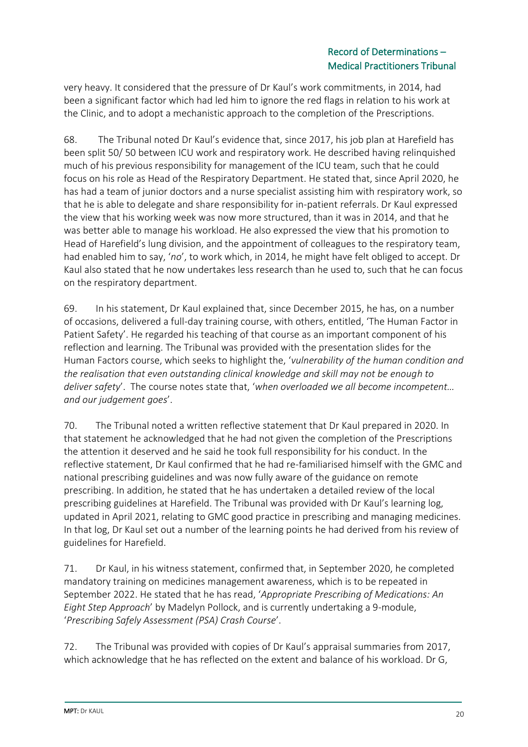very heavy. It considered that the pressure of Dr Kaul's work commitments, in 2014, had been a significant factor which had led him to ignore the red flags in relation to his work at the Clinic, and to adopt a mechanistic approach to the completion of the Prescriptions.

68. The Tribunal noted Dr Kaul's evidence that, since 2017, his job plan at Harefield has been split 50/ 50 between ICU work and respiratory work. He described having relinquished much of his previous responsibility for management of the ICU team, such that he could focus on his role as Head of the Respiratory Department. He stated that, since April 2020, he has had a team of junior doctors and a nurse specialist assisting him with respiratory work, so that he is able to delegate and share responsibility for in-patient referrals. Dr Kaul expressed the view that his working week was now more structured, than it was in 2014, and that he was better able to manage his workload. He also expressed the view that his promotion to Head of Harefield's lung division, and the appointment of colleagues to the respiratory team, had enabled him to say, '*no*', to work which, in 2014, he might have felt obliged to accept. Dr Kaul also stated that he now undertakes less research than he used to, such that he can focus on the respiratory department.

69. In his statement, Dr Kaul explained that, since December 2015, he has, on a number of occasions, delivered a full-day training course, with others, entitled, 'The Human Factor in Patient Safety'. He regarded his teaching of that course as an important component of his reflection and learning. The Tribunal was provided with the presentation slides for the Human Factors course, which seeks to highlight the, '*vulnerability of the human condition and the realisation that even outstanding clinical knowledge and skill may not be enough to deliver safety*'. The course notes state that, '*when overloaded we all become incompetent… and our judgement goes*'.

70. The Tribunal noted a written reflective statement that Dr Kaul prepared in 2020. In that statement he acknowledged that he had not given the completion of the Prescriptions the attention it deserved and he said he took full responsibility for his conduct. In the reflective statement, Dr Kaul confirmed that he had re-familiarised himself with the GMC and national prescribing guidelines and was now fully aware of the guidance on remote prescribing. In addition, he stated that he has undertaken a detailed review of the local prescribing guidelines at Harefield. The Tribunal was provided with Dr Kaul's learning log, updated in April 2021, relating to GMC good practice in prescribing and managing medicines. In that log, Dr Kaul set out a number of the learning points he had derived from his review of guidelines for Harefield.

71. Dr Kaul, in his witness statement, confirmed that, in September 2020, he completed mandatory training on medicines management awareness, which is to be repeated in September 2022. He stated that he has read, '*Appropriate Prescribing of Medications: An Eight Step Approach*' by Madelyn Pollock, and is currently undertaking a 9-module, '*Prescribing Safely Assessment (PSA) Crash Course*'.

72. The Tribunal was provided with copies of Dr Kaul's appraisal summaries from 2017, which acknowledge that he has reflected on the extent and balance of his workload. Dr G,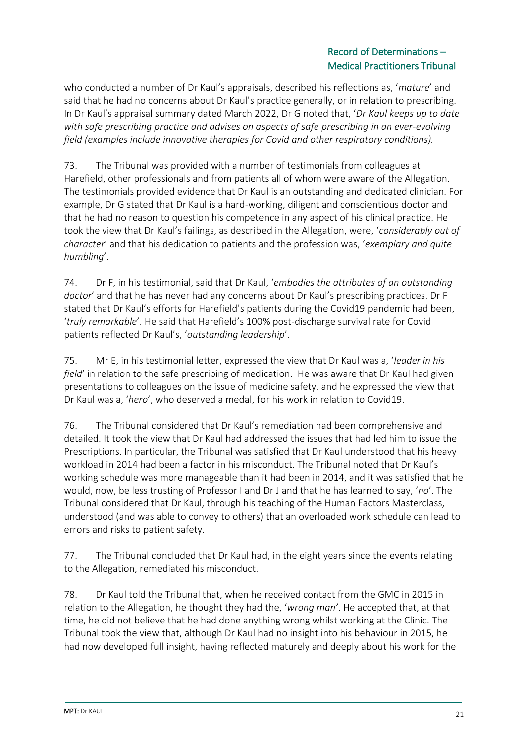who conducted a number of Dr Kaul's appraisals, described his reflections as, '*mature*' and said that he had no concerns about Dr Kaul's practice generally, or in relation to prescribing. In Dr Kaul's appraisal summary dated March 2022, Dr G noted that, '*Dr Kaul keeps up to date with safe prescribing practice and advises on aspects of safe prescribing in an ever-evolving field (examples include innovative therapies for Covid and other respiratory conditions).*

73. The Tribunal was provided with a number of testimonials from colleagues at Harefield, other professionals and from patients all of whom were aware of the Allegation. The testimonials provided evidence that Dr Kaul is an outstanding and dedicated clinician. For example, Dr G stated that Dr Kaul is a hard-working, diligent and conscientious doctor and that he had no reason to question his competence in any aspect of his clinical practice. He took the view that Dr Kaul's failings, as described in the Allegation, were, '*considerably out of character*' and that his dedication to patients and the profession was, '*exemplary and quite humbling*'.

74. Dr F, in his testimonial, said that Dr Kaul, '*embodies the attributes of an outstanding doctor*' and that he has never had any concerns about Dr Kaul's prescribing practices. Dr F stated that Dr Kaul's efforts for Harefield's patients during the Covid19 pandemic had been, '*truly remarkable*'. He said that Harefield's 100% post-discharge survival rate for Covid patients reflected Dr Kaul's, '*outstanding leadership*'.

75. Mr E, in his testimonial letter, expressed the view that Dr Kaul was a, '*leader in his field*' in relation to the safe prescribing of medication. He was aware that Dr Kaul had given presentations to colleagues on the issue of medicine safety, and he expressed the view that Dr Kaul was a, '*hero*', who deserved a medal, for his work in relation to Covid19.

76. The Tribunal considered that Dr Kaul's remediation had been comprehensive and detailed. It took the view that Dr Kaul had addressed the issues that had led him to issue the Prescriptions. In particular, the Tribunal was satisfied that Dr Kaul understood that his heavy workload in 2014 had been a factor in his misconduct. The Tribunal noted that Dr Kaul's working schedule was more manageable than it had been in 2014, and it was satisfied that he would, now, be less trusting of Professor I and Dr J and that he has learned to say, '*no*'. The Tribunal considered that Dr Kaul, through his teaching of the Human Factors Masterclass, understood (and was able to convey to others) that an overloaded work schedule can lead to errors and risks to patient safety.

77. The Tribunal concluded that Dr Kaul had, in the eight years since the events relating to the Allegation, remediated his misconduct.

78. Dr Kaul told the Tribunal that, when he received contact from the GMC in 2015 in relation to the Allegation, he thought they had the, '*wrong man'*. He accepted that, at that time, he did not believe that he had done anything wrong whilst working at the Clinic. The Tribunal took the view that, although Dr Kaul had no insight into his behaviour in 2015, he had now developed full insight, having reflected maturely and deeply about his work for the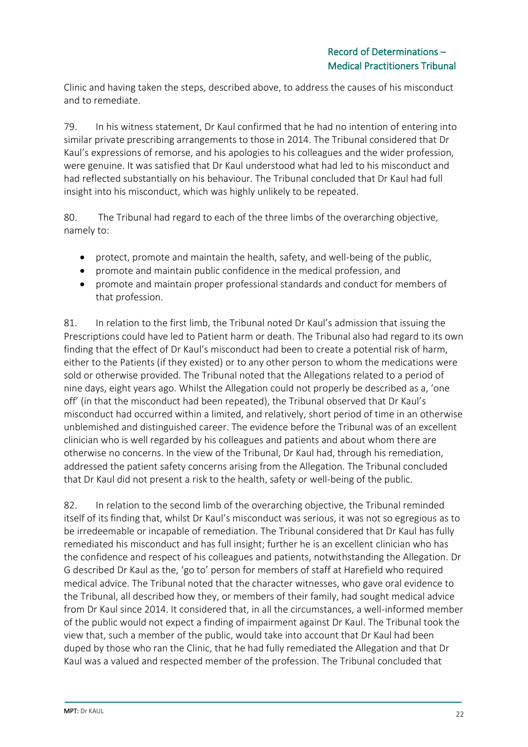Clinic and having taken the steps, described above, to address the causes of his misconduct and to remediate.

79. In his witness statement, Dr Kaul confirmed that he had no intention of entering into similar private prescribing arrangements to those in 2014. The Tribunal considered that Dr Kaul's expressions of remorse, and his apologies to his colleagues and the wider profession, were genuine. It was satisfied that Dr Kaul understood what had led to his misconduct and had reflected substantially on his behaviour. The Tribunal concluded that Dr Kaul had full insight into his misconduct, which was highly unlikely to be repeated.

80. The Tribunal had regard to each of the three limbs of the overarching objective, namely to:

- protect, promote and maintain the health, safety, and well-being of the public,
- promote and maintain public confidence in the medical profession, and
- promote and maintain proper professional standards and conduct for members of that profession.

81. In relation to the first limb, the Tribunal noted Dr Kaul's admission that issuing the Prescriptions could have led to Patient harm or death. The Tribunal also had regard to its own finding that the effect of Dr Kaul's misconduct had been to create a potential risk of harm, either to the Patients (if they existed) or to any other person to whom the medications were sold or otherwise provided. The Tribunal noted that the Allegations related to a period of nine days, eight years ago. Whilst the Allegation could not properly be described as a, 'one off' (in that the misconduct had been repeated), the Tribunal observed that Dr Kaul's misconduct had occurred within a limited, and relatively, short period of time in an otherwise unblemished and distinguished career. The evidence before the Tribunal was of an excellent clinician who is well regarded by his colleagues and patients and about whom there are otherwise no concerns. In the view of the Tribunal, Dr Kaul had, through his remediation, addressed the patient safety concerns arising from the Allegation. The Tribunal concluded that Dr Kaul did not present a risk to the health, safety or well-being of the public.

82. In relation to the second limb of the overarching objective, the Tribunal reminded itself of its finding that, whilst Dr Kaul's misconduct was serious, it was not so egregious as to be irredeemable or incapable of remediation. The Tribunal considered that Dr Kaul has fully remediated his misconduct and has full insight; further he is an excellent clinician who has the confidence and respect of his colleagues and patients, notwithstanding the Allegation. Dr G described Dr Kaul as the, 'go to' person for members of staff at Harefield who required medical advice. The Tribunal noted that the character witnesses, who gave oral evidence to the Tribunal, all described how they, or members of their family, had sought medical advice from Dr Kaul since 2014. It considered that, in all the circumstances, a well-informed member of the public would not expect a finding of impairment against Dr Kaul. The Tribunal took the view that, such a member of the public, would take into account that Dr Kaul had been duped by those who ran the Clinic, that he had fully remediated the Allegation and that Dr Kaul was a valued and respected member of the profession. The Tribunal concluded that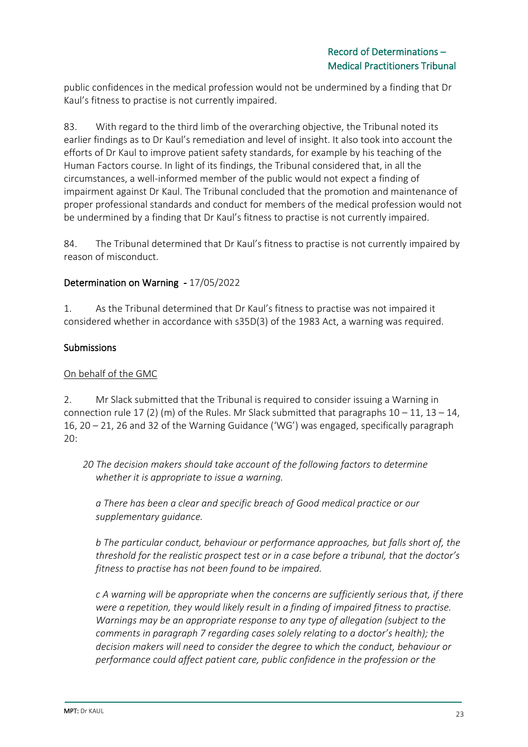public confidences in the medical profession would not be undermined by a finding that Dr Kaul's fitness to practise is not currently impaired.

83. With regard to the third limb of the overarching objective, the Tribunal noted its earlier findings as to Dr Kaul's remediation and level of insight. It also took into account the efforts of Dr Kaul to improve patient safety standards, for example by his teaching of the Human Factors course. In light of its findings, the Tribunal considered that, in all the circumstances, a well-informed member of the public would not expect a finding of impairment against Dr Kaul. The Tribunal concluded that the promotion and maintenance of proper professional standards and conduct for members of the medical profession would not be undermined by a finding that Dr Kaul's fitness to practise is not currently impaired.

84. The Tribunal determined that Dr Kaul's fitness to practise is not currently impaired by reason of misconduct.

### Determination on Warning - 17/05/2022

1. As the Tribunal determined that Dr Kaul's fitness to practise was not impaired it considered whether in accordance with s35D(3) of the 1983 Act, a warning was required.

#### Submissions

#### On behalf of the GMC

2. Mr Slack submitted that the Tribunal is required to consider issuing a Warning in connection rule 17 (2) (m) of the Rules. Mr Slack submitted that paragraphs  $10 - 11$ ,  $13 - 14$ , 16, 20 – 21, 26 and 32 of the Warning Guidance ('WG') was engaged, specifically paragraph 20:

*20 The decision makers should take account of the following factors to determine whether it is appropriate to issue a warning.*

*a There has been a clear and specific breach of Good medical practice or our supplementary guidance.*

*b The particular conduct, behaviour or performance approaches, but falls short of, the threshold for the realistic prospect test or in a case before a tribunal, that the doctor's fitness to practise has not been found to be impaired.*

*c A warning will be appropriate when the concerns are sufficiently serious that, if there were a repetition, they would likely result in a finding of impaired fitness to practise. Warnings may be an appropriate response to any type of allegation (subject to the comments in paragraph 7 regarding cases solely relating to a doctor's health); the decision makers will need to consider the degree to which the conduct, behaviour or performance could affect patient care, public confidence in the profession or the*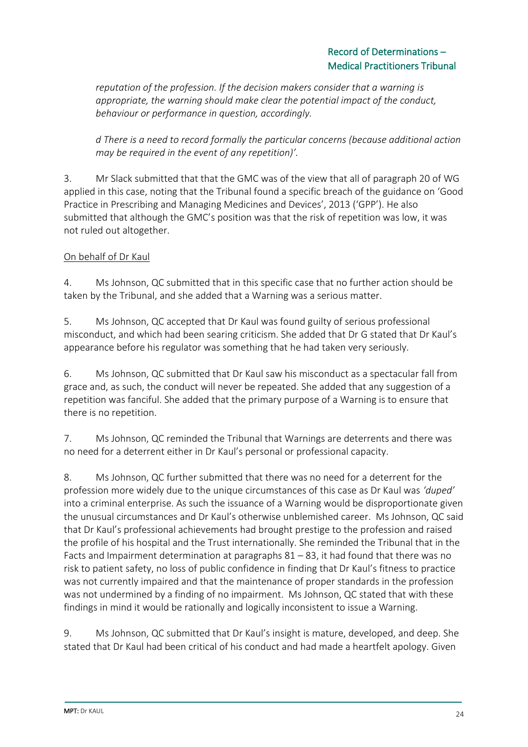*reputation of the profession. If the decision makers consider that a warning is appropriate, the warning should make clear the potential impact of the conduct, behaviour or performance in question, accordingly.* 

*d There is a need to record formally the particular concerns (because additional action may be required in the event of any repetition)'.*

3. Mr Slack submitted that that the GMC was of the view that all of paragraph 20 of WG applied in this case, noting that the Tribunal found a specific breach of the guidance on 'Good Practice in Prescribing and Managing Medicines and Devices', 2013 ('GPP'). He also submitted that although the GMC's position was that the risk of repetition was low, it was not ruled out altogether.

# On behalf of Dr Kaul

4. Ms Johnson, QC submitted that in this specific case that no further action should be taken by the Tribunal, and she added that a Warning was a serious matter.

5. Ms Johnson, QC accepted that Dr Kaul was found guilty of serious professional misconduct, and which had been searing criticism. She added that Dr G stated that Dr Kaul's appearance before his regulator was something that he had taken very seriously.

6. Ms Johnson, QC submitted that Dr Kaul saw his misconduct as a spectacular fall from grace and, as such, the conduct will never be repeated. She added that any suggestion of a repetition was fanciful. She added that the primary purpose of a Warning is to ensure that there is no repetition.

7. Ms Johnson, QC reminded the Tribunal that Warnings are deterrents and there was no need for a deterrent either in Dr Kaul's personal or professional capacity.

8. Ms Johnson, QC further submitted that there was no need for a deterrent for the profession more widely due to the unique circumstances of this case as Dr Kaul was *'duped'* into a criminal enterprise. As such the issuance of a Warning would be disproportionate given the unusual circumstances and Dr Kaul's otherwise unblemished career. Ms Johnson, QC said that Dr Kaul's professional achievements had brought prestige to the profession and raised the profile of his hospital and the Trust internationally. She reminded the Tribunal that in the Facts and Impairment determination at paragraphs 81 – 83, it had found that there was no risk to patient safety, no loss of public confidence in finding that Dr Kaul's fitness to practice was not currently impaired and that the maintenance of proper standards in the profession was not undermined by a finding of no impairment. Ms Johnson, QC stated that with these findings in mind it would be rationally and logically inconsistent to issue a Warning.

9. Ms Johnson, QC submitted that Dr Kaul's insight is mature, developed, and deep. She stated that Dr Kaul had been critical of his conduct and had made a heartfelt apology. Given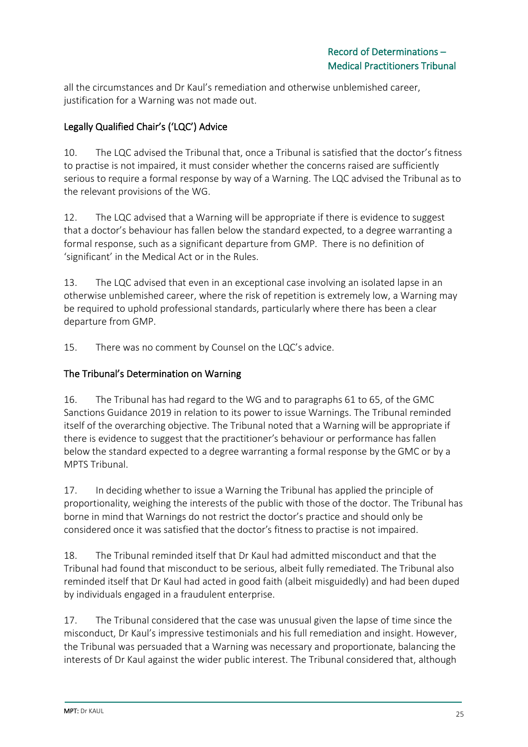all the circumstances and Dr Kaul's remediation and otherwise unblemished career, justification for a Warning was not made out.

# Legally Qualified Chair's ('LQC') Advice

10. The LQC advised the Tribunal that, once a Tribunal is satisfied that the doctor's fitness to practise is not impaired, it must consider whether the concerns raised are sufficiently serious to require a formal response by way of a Warning. The LQC advised the Tribunal as to the relevant provisions of the WG.

12. The LQC advised that a Warning will be appropriate if there is evidence to suggest that a doctor's behaviour has fallen below the standard expected, to a degree warranting a formal response, such as a significant departure from GMP. There is no definition of 'significant' in the Medical Act or in the Rules.

13. The LQC advised that even in an exceptional case involving an isolated lapse in an otherwise unblemished career, where the risk of repetition is extremely low, a Warning may be required to uphold professional standards, particularly where there has been a clear departure from GMP.

15. There was no comment by Counsel on the LQC's advice.

# The Tribunal's Determination on Warning

16. The Tribunal has had regard to the WG and to paragraphs 61 to 65, of the GMC Sanctions Guidance 2019 in relation to its power to issue Warnings. The Tribunal reminded itself of the overarching objective. The Tribunal noted that a Warning will be appropriate if there is evidence to suggest that the practitioner's behaviour or performance has fallen below the standard expected to a degree warranting a formal response by the GMC or by a MPTS Tribunal.

17. In deciding whether to issue a Warning the Tribunal has applied the principle of proportionality, weighing the interests of the public with those of the doctor. The Tribunal has borne in mind that Warnings do not restrict the doctor's practice and should only be considered once it was satisfied that the doctor's fitness to practise is not impaired.

18. The Tribunal reminded itself that Dr Kaul had admitted misconduct and that the Tribunal had found that misconduct to be serious, albeit fully remediated. The Tribunal also reminded itself that Dr Kaul had acted in good faith (albeit misguidedly) and had been duped by individuals engaged in a fraudulent enterprise.

17. The Tribunal considered that the case was unusual given the lapse of time since the misconduct, Dr Kaul's impressive testimonials and his full remediation and insight. However, the Tribunal was persuaded that a Warning was necessary and proportionate, balancing the interests of Dr Kaul against the wider public interest. The Tribunal considered that, although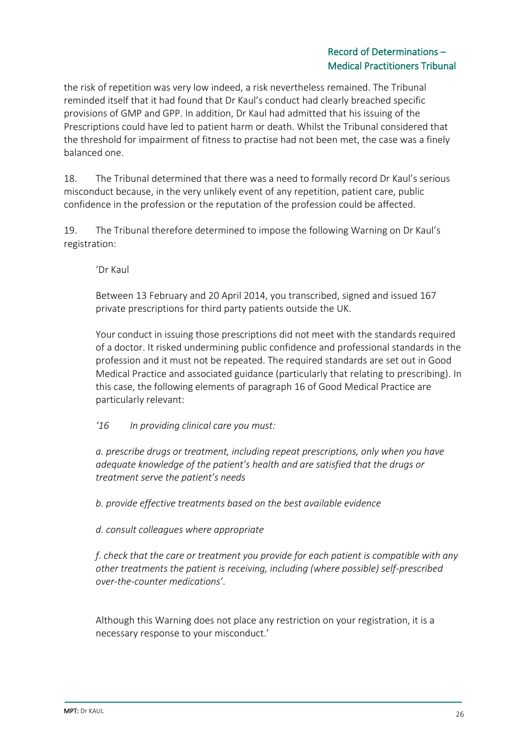the risk of repetition was very low indeed, a risk nevertheless remained. The Tribunal reminded itself that it had found that Dr Kaul's conduct had clearly breached specific provisions of GMP and GPP. In addition, Dr Kaul had admitted that his issuing of the Prescriptions could have led to patient harm or death. Whilst the Tribunal considered that the threshold for impairment of fitness to practise had not been met, the case was a finely balanced one.

18. The Tribunal determined that there was a need to formally record Dr Kaul's serious misconduct because, in the very unlikely event of any repetition, patient care, public confidence in the profession or the reputation of the profession could be affected.

19. The Tribunal therefore determined to impose the following Warning on Dr Kaul's registration:

'Dr Kaul

Between 13 February and 20 April 2014, you transcribed, signed and issued 167 private prescriptions for third party patients outside the UK.

Your conduct in issuing those prescriptions did not meet with the standards required of a doctor. It risked undermining public confidence and professional standards in the profession and it must not be repeated. The required standards are set out in Good Medical Practice and associated guidance (particularly that relating to prescribing). In this case, the following elements of paragraph 16 of Good Medical Practice are particularly relevant:

*'16 In providing clinical care you must:* 

*a. prescribe drugs or treatment, including repeat prescriptions, only when you have adequate knowledge of the patient's health and are satisfied that the drugs or treatment serve the patient's needs* 

*b. provide effective treatments based on the best available evidence* 

*d. consult colleagues where appropriate*

*f. check that the care or treatment you provide for each patient is compatible with any other treatments the patient is receiving, including (where possible) self-prescribed over-the-counter medications'*.

Although this Warning does not place any restriction on your registration, it is a necessary response to your misconduct.'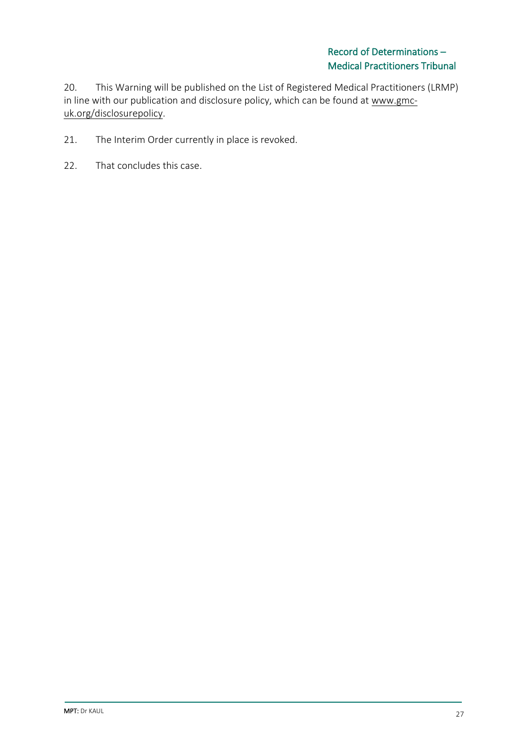20. This Warning will be published on the List of Registered Medical Practitioners (LRMP) in line with our publication and disclosure policy, which can be found at www.gmcuk.org/disclosurepolicy.

- 21. The Interim Order currently in place is revoked.
- 22. That concludes this case.